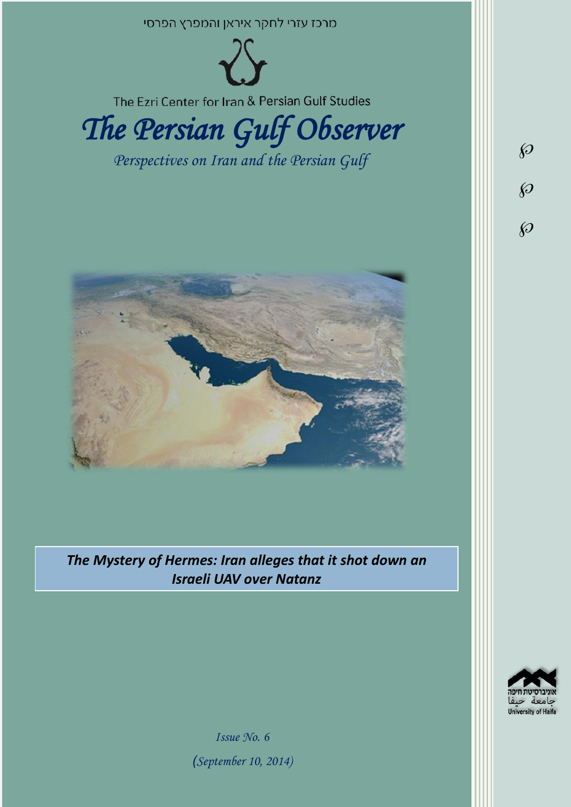

*The Mystery of Hermes: Iran alleges that it shot down an Israeli UAV over Natanz*



*Issue No. 6 )September 10, 2014)*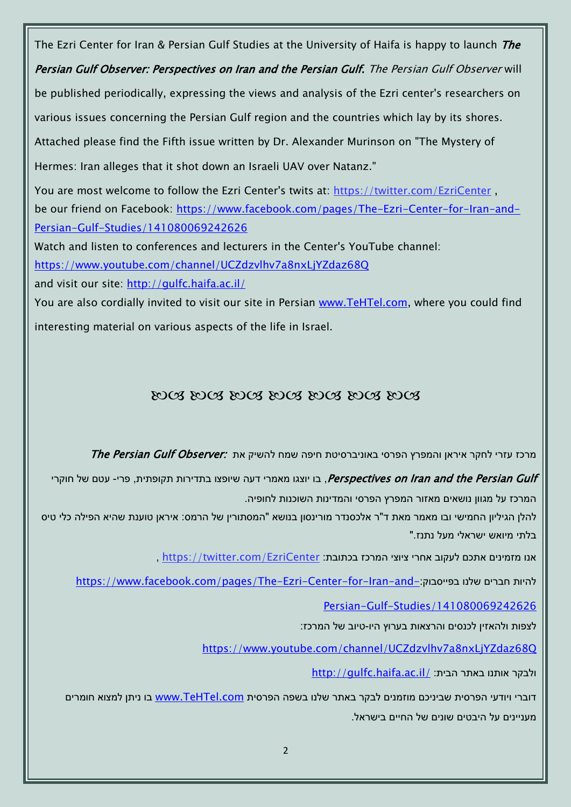The Ezri Center for Iran & Persian Gulf Studies at the University of Haifa is happy to launch The Persian Gulf Observer: Perspectives on Iran and the Persian Gulf. The Persian Gulf Observer will be published periodically, expressing the views and analysis of the Ezri center's researchers on various issues concerning the Persian Gulf region and the countries which lay by its shores. Attached please find the Fifth issue written by Dr. Alexander Murinson on "The Mystery of Hermes: Iran alleges that it shot down an Israeli UAV over Natanz." You are most welcome to follow the Ezri Center's twits at: <https://twitter.com/EzriCenter> , be our friend on Facebook: [https://www.facebook.com/pages/The-Ezri-Center-for-Iran-and-](https://www.facebook.com/pages/The-Ezri-Center-for-Iran-and-Persian-Gulf-Studies/141080069242626)[Persian-Gulf-Studies/141080069242626](https://www.facebook.com/pages/The-Ezri-Center-for-Iran-and-Persian-Gulf-Studies/141080069242626) Watch and listen to conferences and lecturers in the Center's YouTube channel: <https://www.youtube.com/channel/UCZdzvlhv7a8nxLjYZdaz68Q> and visit our site:<http://gulfc.haifa.ac.il/> You are also cordially invited to visit our site in Persian [www.TeHTel.com,](http://www.tehtel.com/) where you could find interesting material on various aspects of the life in Israel.

### DOG DOG DOG DOG DOG DOG DOG

מרכז עזרי לחקר איראן והמפרץ הפרסי באוניברסיטת חיפה שמח להשיק את :The Persian Gulf Observer

Perspectives on Iran and the Persian Gulf , בו יוצגו מאמרי דעה שיופצו בתדירות תקופתית, פרי- עטם של חוקרי המרכז על מגוון נושאים מאזור המפרץ הפרסי והמדינות השוכנות לחופיה.

להלן הגיליון החמישי ובו מאמר מאת ד"ר אלכסנדר מורינסון בנושא "המסתורין של הרמס: איראן טוענת שהיא הפילה כלי טיס בלתי מיואש ישראלי מעל נתנז."

, https://twitter.com/EzriCenter אנו מזמינים אתכם לעקוב אחרי ציוצי המרכז בכתובת:

[https://www.facebook.com/pages/The-Ezri-Center-for-Iran-and-](https://www.facebook.com/pages/The-Ezri-Center-for-Iran-and-Persian-Gulf-Studies/141080069242626)

[Persian-Gulf-Studies/141080069242626](https://www.facebook.com/pages/The-Ezri-Center-for-Iran-and-Persian-Gulf-Studies/141080069242626)

לצפות ולהאזין לכנסים והרצאות בערוץ היו-טיוב של המרכז:

<https://www.youtube.com/channel/UCZdzvlhv7a8nxLjYZdaz68Q>

<http://gulfc.haifa.ac.il/> ולבקר אותנו באתר הבית

דוברי ויודעי הפרסית שביניכם מוזמנים לבקר באתר שלנו בשפה הפרסית [com.TeHTel.www](http://www.tehtel.com/) בו ניתן למצוא חומרים מעניינים על היבטים שונים של החיים בישראל.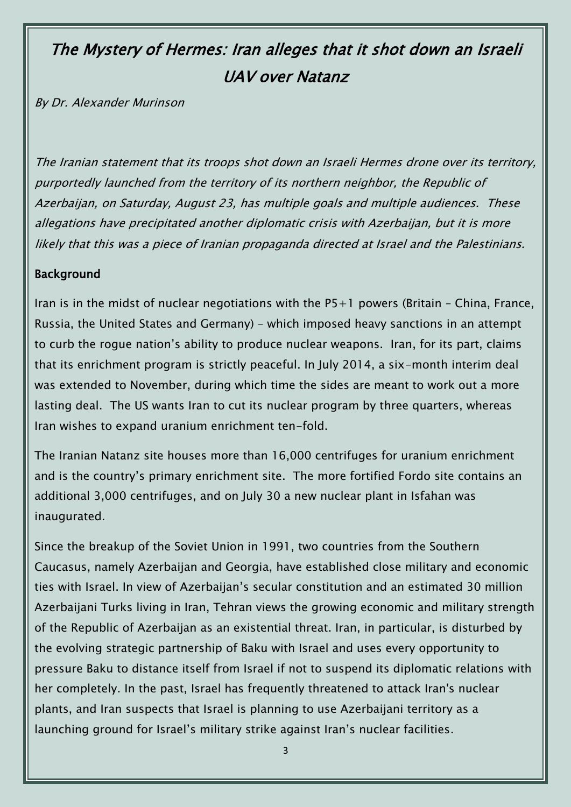# The Mystery of Hermes: Iran alleges that it shot down an Israeli UAV over Natanz

By Dr. Alexander Murinson

The Iranian statement that its troops shot down an Israeli Hermes drone over its territory, purportedly launched from the territory of its northern neighbor, the Republic of Azerbaijan, on Saturday, August 23, has multiple goals and multiple audiences. These allegations have precipitated another diplomatic crisis with Azerbaijan, but it is more likely that this was a piece of Iranian propaganda directed at Israel and the Palestinians.

### Background

Iran is in the midst of nuclear negotiations with the  $P5+1$  powers (Britain - China, France, Russia, the United States and Germany) – which imposed heavy sanctions in an attempt to curb the rogue nation's ability to produce nuclear weapons. Iran, for its part, claims that its enrichment program is strictly peaceful. In July 2014, a six-month interim deal was extended to November, during which time the sides are meant to work out a more lasting deal. The US wants Iran to cut its nuclear program by three quarters, whereas Iran wishes to expand uranium enrichment ten-fold.

The Iranian Natanz site houses more than 16,000 centrifuges for uranium enrichment and is the country's primary enrichment site. The more fortified Fordo site contains an additional 3,000 centrifuges, and on July 30 a new nuclear plant in Isfahan was inaugurated.

Since the breakup of the Soviet Union in 1991, two countries from the Southern Caucasus, namely Azerbaijan and Georgia, have established close military and economic ties with Israel. In view of Azerbaijan's secular constitution and an estimated 30 million Azerbaijani Turks living in Iran, Tehran views the growing economic and military strength of the Republic of Azerbaijan as an existential threat. Iran, in particular, is disturbed by the evolving strategic partnership of Baku with Israel and uses every opportunity to pressure Baku to distance itself from Israel if not to suspend its diplomatic relations with her completely. In the past, Israel has frequently threatened to attack Iran's nuclear plants, and Iran suspects that Israel is planning to use Azerbaijani territory as a launching ground for Israel's military strike against Iran's nuclear facilities.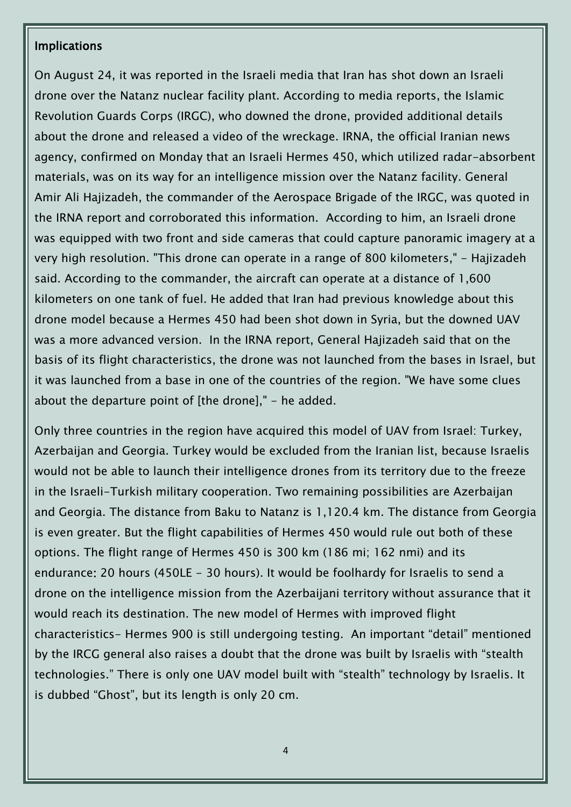#### Implications

On August 24, it was reported in the Israeli media that Iran has shot down an Israeli drone over the Natanz nuclear facility plant. According to media reports, the Islamic Revolution Guards Corps (IRGC), who downed the drone, provided additional details about the drone and released a video of the wreckage. IRNA, the official Iranian news agency, confirmed on Monday that an Israeli Hermes 450, which utilized radar-absorbent materials, was on its way for an intelligence mission over the Natanz facility. General Amir Ali Hajizadeh, the commander of the Aerospace Brigade of the IRGC, was quoted in the IRNA report and corroborated this information. According to him, an Israeli drone was equipped with two front and side cameras that could capture panoramic imagery at a very high resolution. "This drone can operate in a range of 800 kilometers," - Hajizadeh said. According to the commander, the aircraft can operate at a distance of 1,600 kilometers on one tank of fuel. He added that Iran had previous knowledge about this drone model because a Hermes 450 had been shot down in Syria, but the downed UAV was a more advanced version. In the IRNA report, General Hajizadeh said that on the basis of its flight characteristics, the drone was not launched from the bases in Israel, but it was launched from a base in one of the countries of the region. "We have some clues about the departure point of [the drone]," - he added.

Only three countries in the region have acquired this model of UAV from Israel: Turkey, Azerbaijan and Georgia. Turkey would be excluded from the Iranian list, because Israelis would not be able to launch their intelligence drones from its territory due to the freeze in the Israeli-Turkish military cooperation. Two remaining possibilities are Azerbaijan and Georgia. The distance from Baku to Natanz is 1,120.4 km. The distance from Georgia is even greater. But the flight capabilities of Hermes 450 would rule out both of these options. The flight range of Hermes 450 is 300 km (186 mi; 162 nmi) and its endurance: 20 hours (450LE - 30 hours). It would be foolhardy for Israelis to send a drone on the intelligence mission from the Azerbaijani territory without assurance that it would reach its destination. The new model of Hermes with improved flight characteristics- Hermes 900 is still undergoing testing. An important "detail" mentioned by the IRCG general also raises a doubt that the drone was built by Israelis with "stealth technologies." There is only one UAV model built with "stealth" technology by Israelis. It is dubbed "Ghost", but its length is only 20 cm.

4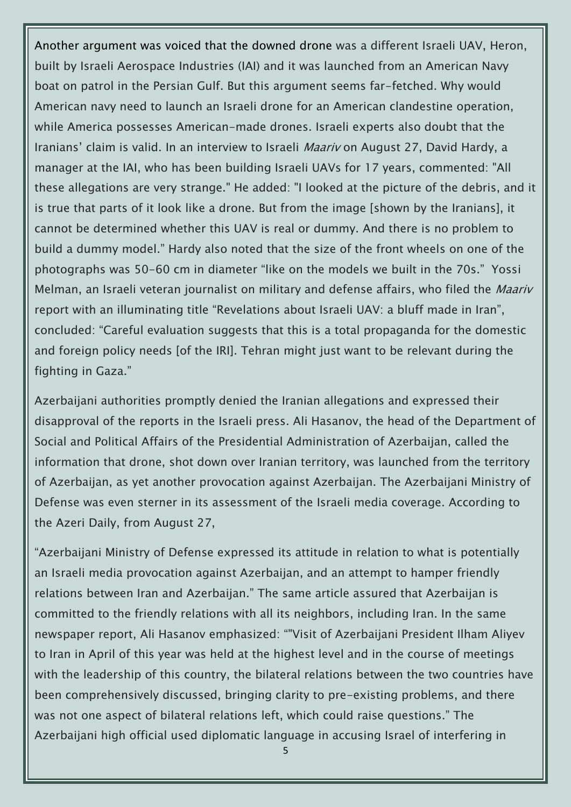Another argument was voiced that the downed drone was a different Israeli UAV, Heron, built by Israeli Aerospace Industries (IAI) and it was launched from an American Navy boat on patrol in the Persian Gulf. But this argument seems far-fetched. Why would American navy need to launch an Israeli drone for an American clandestine operation, while America possesses American-made drones. Israeli experts also doubt that the Iranians' claim is valid. In an interview to Israeli Maariv on August 27, David Hardy, a manager at the IAI, who has been building Israeli UAVs for 17 years, commented: "All these allegations are very strange." He added: "I looked at the picture of the debris, and it is true that parts of it look like a drone. But from the image [shown by the Iranians], it cannot be determined whether this UAV is real or dummy. And there is no problem to build a dummy model." Hardy also noted that the size of the front wheels on one of the photographs was 50-60 cm in diameter "like on the models we built in the 70s." Yossi Melman, an Israeli veteran journalist on military and defense affairs, who filed the *Maariv* report with an illuminating title "Revelations about Israeli UAV: a bluff made in Iran", concluded: "Careful evaluation suggests that this is a total propaganda for the domestic and foreign policy needs [of the IRI]. Tehran might just want to be relevant during the fighting in Gaza."

Azerbaijani authorities promptly denied the Iranian allegations and expressed their disapproval of the reports in the Israeli press. Ali Hasanov, the head of the Department of Social and Political Affairs of the Presidential Administration of Azerbaijan, called the information that drone, shot down over Iranian territory, was launched from the territory of Azerbaijan, as yet another provocation against Azerbaijan. The Azerbaijani Ministry of Defense was even sterner in its assessment of the Israeli media coverage. According to the Azeri Daily, from August 27,

"Azerbaijani Ministry of Defense expressed its attitude in relation to what is potentially an Israeli media provocation against Azerbaijan, and an attempt to hamper friendly relations between Iran and Azerbaijan." The same article assured that Azerbaijan is committed to the friendly relations with all its neighbors, including Iran. In the same newspaper report, Ali Hasanov emphasized: ""Visit of Azerbaijani President Ilham Aliyev to Iran in April of this year was held at the highest level and in the course of meetings with the leadership of this country, the bilateral relations between the two countries have been comprehensively discussed, bringing clarity to pre-existing problems, and there was not one aspect of bilateral relations left, which could raise questions." The Azerbaijani high official used diplomatic language in accusing Israel of interfering in